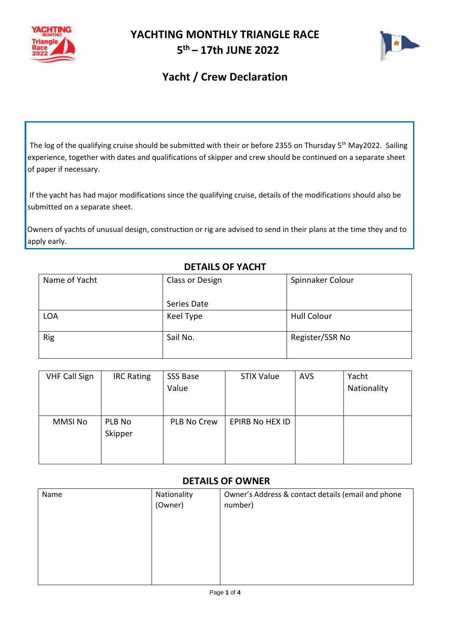

#### **YACHTING MONTHLY TRIANGLE RACE 5 th – 17th JUNE 2022**



### **Yacht / Crew Declaration**

The log of the qualifying cruise should be submitted with their or before 2355 on Thursday 5<sup>th</sup> May2022. Sailing experience, together with dates and qualifications of skipper and crew should be continued on a separate sheet of paper if necessary.

If the yacht has had major modifications since the qualifying cruise, details of the modifications should also be submitted on a separate sheet.

Owners of yachts of unusual design, construction or rig are advised to send in their plans at the time they and to apply early.

| Name of Yacht | Class or Design | Spinnaker Colour   |
|---------------|-----------------|--------------------|
|               | Series Date     |                    |
| <b>LOA</b>    | Keel Type       | <b>Hull Colour</b> |
| Rig           | Sail No.        | Register/SSR No    |

#### **DETAILS OF YACHT**

| <b>VHF Call Sign</b> | <b>IRC Rating</b> | SSS Base    | <b>STIX Value</b>      | <b>AVS</b> | Yacht       |
|----------------------|-------------------|-------------|------------------------|------------|-------------|
|                      |                   | Value       |                        |            | Nationality |
|                      |                   |             |                        |            |             |
|                      |                   |             |                        |            |             |
| <b>MMSI No</b>       | PLB No            | PLB No Crew | <b>EPIRB No HEX ID</b> |            |             |
|                      | Skipper           |             |                        |            |             |
|                      |                   |             |                        |            |             |
|                      |                   |             |                        |            |             |

#### **DETAILS OF OWNER**

| Name | Nationality<br>(Owner) | Owner's Address & contact details (email and phone<br>number) |
|------|------------------------|---------------------------------------------------------------|
|      |                        |                                                               |
|      |                        |                                                               |
|      |                        |                                                               |
|      |                        |                                                               |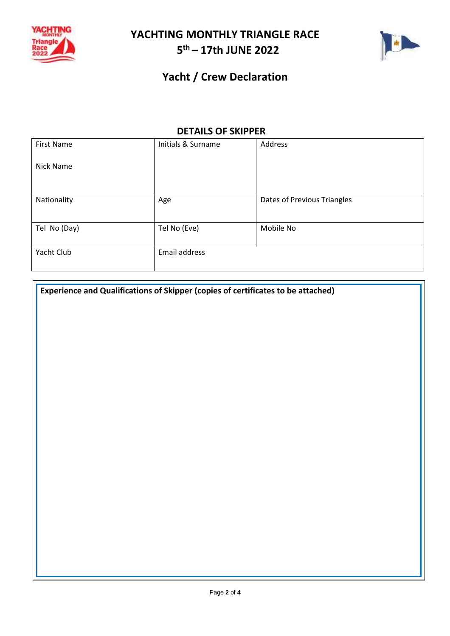

# **YACHTING MONTHLY TRIANGLE RACE 5 th – 17th JUNE 2022**



### **Yacht / Crew Declaration**

#### **DETAILS OF SKIPPER**

| <b>First Name</b> | Initials & Surname | Address                     |
|-------------------|--------------------|-----------------------------|
| Nick Name         |                    |                             |
|                   |                    |                             |
| Nationality       | Age                | Dates of Previous Triangles |
|                   |                    |                             |
| Tel No (Day)      | Tel No (Eve)       | Mobile No                   |
|                   |                    |                             |
| Yacht Club        | Email address      |                             |
|                   |                    |                             |

**Experience and Qualifications of Skipper (copies of certificates to be attached)**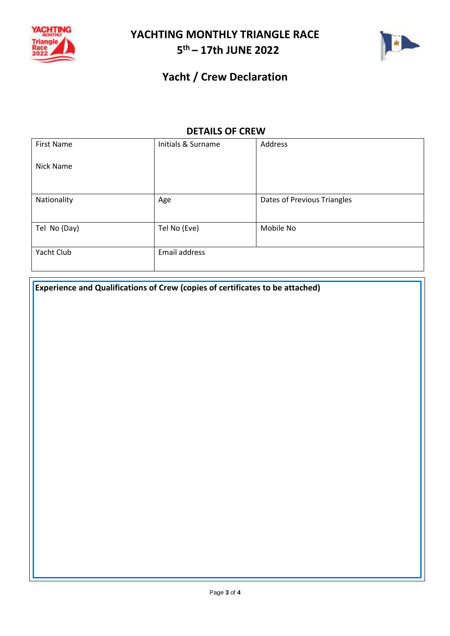

# **YACHTING MONTHLY TRIANGLE RACE 5 th – 17th JUNE 2022**



## **Yacht / Crew Declaration**

#### **DETAILS OF CREW**

| First Name   | Initials & Surname | Address                     |
|--------------|--------------------|-----------------------------|
| Nick Name    |                    |                             |
|              |                    |                             |
| Nationality  | Age                | Dates of Previous Triangles |
|              |                    |                             |
| Tel No (Day) | Tel No (Eve)       | Mobile No                   |
|              |                    |                             |
| Yacht Club   | Email address      |                             |
|              |                    |                             |

**Experience and Qualifications of Crew (copies of certificates to be attached)**